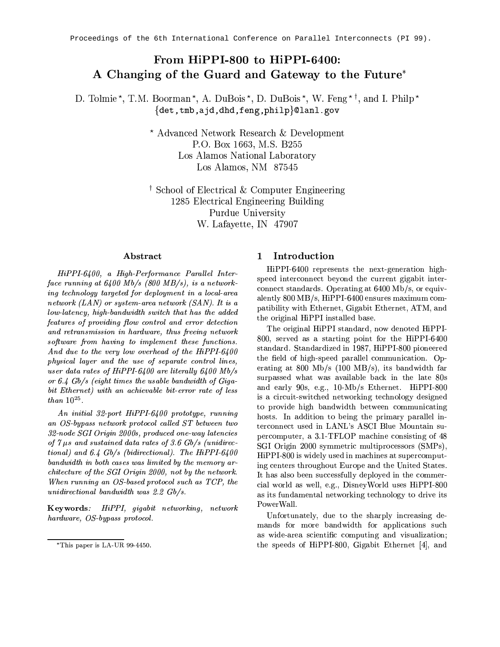# From HiPPI-800 to HiPPI-6400: A Changing of the Guard and Gateway to the Future<sup>\*</sup>

D. Tolmie<sup>\*</sup>, T.M. Boorman<sup>\*</sup>, A. DuBois<sup>\*</sup>, D. DuBois<sup>\*</sup>, W. Feng<sup>\*†</sup>, and I. Philp<sup>\*</sup> {det, tmb, a jd, dhd, feng, philp}@lanl.gov

> \* Advanced Network Research & Development P.O. Box 1663, M.S. B255 Los Alamos National Laboratory Los Alamos, NM 87545

<sup>†</sup> School of Electrical & Computer Engineering 1285 Electrical Engineering Building Purdue University W. Lafayette, IN 47907

### Abstract

HiPPI-6400, a High-Performance Parallel Interface running at  $6400$  Mb/s (800 MB/s), is a networking technology targeted for deployment in a local-area network  $(LAN)$  or system-area network  $(SAN)$ . It is a low-latency, high-bandwidth switch that has the added features of providing flow control and error detection and retransmission in hardware, thus freeing network software from having to implement these functions. And due to the very low overhead of the HiPPI-6400 physical layer and the use of separate control lines, user data rates of HiPPI-6400 are literally 6400 Mb/s or 6.4 Gb/s (eight times the usable bandwidth of Gigabit Ethernet) with an achievable bit-error rate of less than  $10^{25}$ .

An initial 32-port HiPPI-6400 prototype, running an OS-bypass network protocol called ST between two 32-node SGI Origin 2000s, produced one-way latencies of  $7 \mu s$  and sustained data rates of 3.6 Gb/s (unidirectional) and 6.4  $Gb/s$  (bidirectional). The HiPPI-6400 bandwidth in both cases was limited by the memory architecture of the SGI Origin 2000, not by the network. When running an OS-based protocol such as TCP, the unidirectional bandwidth was 2.2 Gb/s.

Keywords: HiPPI, gigabit networking, network hardware, OS-bypass protocol.

#### Introduction  $\mathbf{1}$

HiPPI-6400 represents the next-generation highspeed interconnect beyond the current gigabit interconnect standards. Operating at 6400 Mb/s, or equivalently  $800 \text{ MB/s}$ , HiPPI-6400 ensures maximum compatibility with Ethernet, Gigabit Ethernet, ATM, and the original HiPPI installed base.

The original HiPPI standard, now denoted HiPPI-800, served as a starting point for the HiPPI-6400 standard. Standardized in 1987, HiPPI-800 pioneered the field of high-speed parallel communication. Operating at 800 Mb/s (100 MB/s), its bandwidth far surpassed what was available back in the late 80s and early 90s, e.g., 10-Mb/s Ethernet. HiPPI-800 is a circuit-switched networking technology designed to provide high bandwidth between communicating hosts. In addition to being the primary parallel interconnect used in LANL's ASCI Blue Mountain supercomputer, a 3.1-TFLOP machine consisting of 48 SGI Origin 2000 symmetric multiprocessors (SMPs), HiPPI-800 is widely used in machines at supercomputing centers throughout Europe and the United States. It has also been successfully deployed in the commercial world as well, e.g., Disney World uses HiPPI-800 as its fundamental networking technology to drive its PowerWall.

Unfortunately, due to the sharply increasing demands for more bandwidth for applications such as wide-area scientific computing and visualization; the speeds of HiPPI-800, Gigabit Ethernet [4], and

<sup>\*</sup>This paper is LA-UR 99-4450.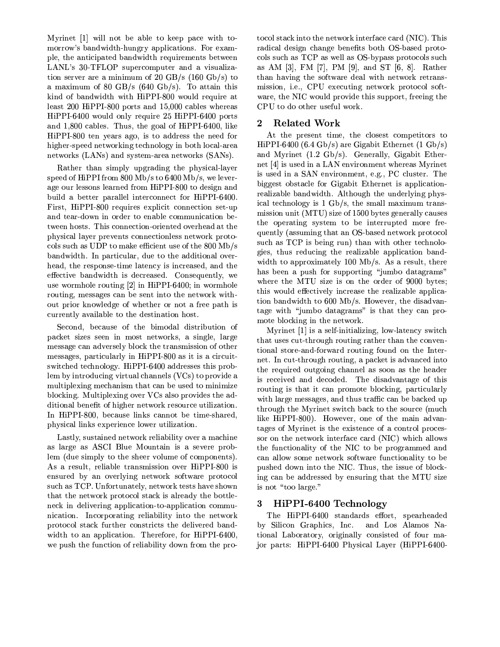Myrinet [1] will not be able to keep pace with tomorrow's bandwidth-hungry applications. For example, the anticipated bandwidth requirements between LANL's 30-TFLOP supercomputer and a visualization server are a minimum of 20 GB/s  $(160 \text{ Gb/s})$  to a maximum of 80 GB/s  $(640 \text{ Gb/s})$ . To attain this kind of bandwidth with HiPPI-800 would require at least 200 HiPPI-800 ports and 15,000 cables whereas HiPPI-6400 would only require 25 HiPPI-6400 ports and 1,800 cables. Thus, the goal of HiPPI-6400, like HiPPI-800 ten years ago, is to address the need for higher-speed networking technology in both local-area networks (LANs) and system-area networks (SANs).

Rather than simply upgrading the physical-layer speed of HiPPI from  $800 \text{ Mb/s}$  to  $6400 \text{ Mb/s}$ , we leverage our lessons learned from HiPPI-800 to design and build a better parallel interconnect for HiPPI-6400. First, HiPPI-800 requires explicit connection set-up and tear-down in order to enable communication between hosts. This connection-oriented overhead at the physical layer prevents connectionless network protocols such as UDP to make efficient use of the 800 Mb/s bandwidth. In particular, due to the additional overhead, the response-time latency is increased, and the effective bandwidth is decreased. Consequently, we use wormhole routing  $[2]$  in HiPPI-6400; in wormhole routing, messages can be sent into the network without prior knowledge of whether or not a free path is currently available to the destination host.

Second, because of the bimodal distribution of packet sizes seen in most networks, a single, large message can adversely block the transmission of other messages, particularly in HiPPI-800 as it is a circuitswitched technology. HiPPI-6400 addresses this problem by introducing virtual channels (VCs) to provide a multiplexing mechanism that can be used to minimize blocking. Multiplexing over VCs also provides the additional benefit of higher network resource utilization. In HiPPI-800, because links cannot be time-shared, physical links experience lower utilization.

Lastly, sustained network reliability over a machine as large as ASCI Blue Mountain is a severe problem (due simply to the sheer volume of components). As a result, reliable transmission over HiPPI-800 is ensured by an overlying network software protocol such as TCP. Unfortunately, network tests have shown that the network protocol stack is already the bottleneck in delivering application-to-application communication. Incorporating reliability into the network protocol stack further constricts the delivered bandwidth to an application. Therefore, for HiPPI-6400, we push the function of reliability down from the protocol stack into the network interface card (NIC). This radical design change benefits both OS-based protocols such as TCP as well as OS-bypass protocols such as AM [3], FM [7], PM [9], and ST [6, 8]. Rather than having the software deal with network retransmission, i.e., CPU executing network protocol software, the NIC would provide this support, freeing the CPU to do other useful work.

#### **Related Work**  $\bf{2}$

At the present time, the closest competitors to HiPPI-6400 (6.4 Gb/s) are Gigabit Ethernet  $(1 \text{ Gb/s})$ and Myrinet  $(1.2 \text{ Gb/s})$ . Generally, Gigabit Ethernet [4] is used in a LAN environment whereas Myrinet is used in a SAN environment, e.g., PC cluster. The biggest obstacle for Gigabit Ethernet is applicationrealizable bandwidth. Although the underlying physical technology is 1 Gb/s, the small maximum transmission unit (MTU) size of 1500 bytes generally causes the operating system to be interrupted more frequently (assuming that an OS-based network protocol such as TCP is being run) than with other technologies, thus reducing the realizable application bandwidth to approximately  $100 \text{ Mb/s}$ . As a result, there has been a push for supporting "jumbo datagrams" where the MTU size is on the order of 9000 bytes; this would effectively increase the realizable application bandwidth to 600 Mb/s. However, the disadvantage with "jumbo datagrams" is that they can promote blocking in the network.

Myrinet [1] is a self-initializing, low-latency switch that uses cut-through routing rather than the conventional store-and-forward routing found on the Internet. In cut-through routing, a packet is advanced into the required outgoing channel as soon as the header is received and decoded. The disadvantage of this routing is that it can promote blocking, particularly with large messages, and thus traffic can be backed up through the Myrinet switch back to the source (much like HiPPI-800). However, one of the main advantages of Myrinet is the existence of a control processor on the network interface card (NIC) which allows the functionality of the NIC to be programmed and can allow some network software functionality to be pushed down into the NIC. Thus, the issue of blocking can be addressed by ensuring that the MTU size is not "too large."

#### HiPPI-6400 Technology 3

The HiPPI-6400 standards effort, spearheaded by Silicon Graphics, Inc. and Los Alamos National Laboratory, originally consisted of four maior parts: HiPPI-6400 Physical Laver (HiPPI-6400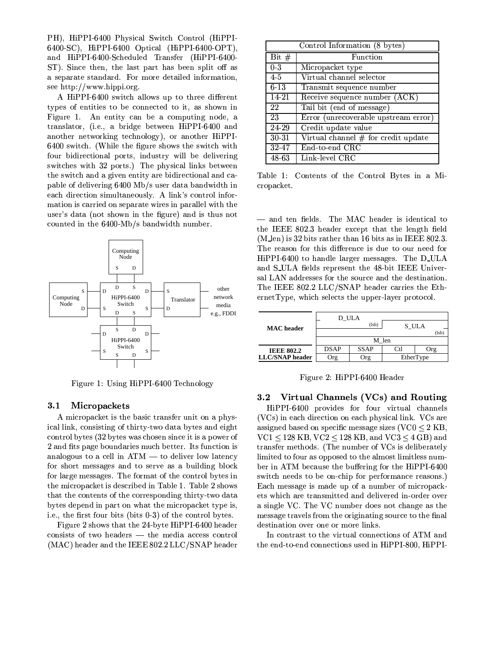PH), HiPPI-6400 Physical Switch Control (HiPPI-6400-SC), HiPPI-6400 Optical (HiPPI-6400-OPT), and HiPPI-6400-Scheduled Transfer (HiPPI-6400-ST). Since then, the last part has been split off as a separate standard. For more detailed information, see http://www.hippi.org.

A HiPPI-6400 switch allows up to three different types of entities to be connected to it, as shown in Figure 1. An entity can be a computing node, a translator, (i.e., a bridge between HiPPI-6400 and another networking technology), or another HiPPI-6400 switch. (While the figure shows the switch with four bidirectional ports, industry will be delivering switches with 32 ports.) The physical links between the switch and a given entity are bidirectional and capable of delivering 6400 Mb/s user data bandwidth in each direction simultaneously. A link's control information is carried on separate wires in parallel with the user's data (not shown in the figure) and is thus not counted in the 6400-Mb/s bandwidth number.



Figure 1: Using HiPPI-6400 Technology

#### $3.1$ Micropackets

A micropacket is the basic transfer unit on a physical link, consisting of thirty-two data bytes and eight control bytes (32 bytes was chosen since it is a power of 2 and fits page boundaries much better. Its function is analogous to a cell in  $ATM$  — to deliver low latency for short messages and to serve as a building block for large messages. The format of the control bytes in the micropacket is described in Table 1. Table 2 shows that the contents of the corresponding thirty-two data bytes depend in part on what the micropacket type is, i.e., the first four bits (bits 0-3) of the control bytes.

Figure 2 shows that the 24-byte HiPPI-6400 header  $consists$  of two headers  $-$  the media access control (MAC) header and the IEEE 802.2 LLC/SNAP header

| Control Information (8 bytes) |                                       |  |
|-------------------------------|---------------------------------------|--|
| Bit $#$                       | Function                              |  |
| $0 - 3$                       | Micropacket type                      |  |
| $4-5$                         | Virtual channel selector              |  |
| $6 - 13$                      | Transmit sequence number              |  |
| $14 - 21$                     | Receive sequence number (ACK)         |  |
| 22                            | Tail bit (end of message)             |  |
| 23                            | Error (unrecoverable upstream error)  |  |
| 24-29                         | Credit update value                   |  |
| $30 - 31$                     | Virtual channel $#$ for credit update |  |
| $32 - 47$                     | End-to-end CRC                        |  |
| 48-63                         | Link-level CRC                        |  |

Table 1: Contents of the Control Bytes in a Micropacket.

- and ten fields. The MAC header is identical to the IEEE 802.3 header except that the length field  $(M_{\rm \perp}$ en) is 32 bits rather than 16 bits as in IEEE 802.3. The reason for this difference is due to our need for HiPPI-6400 to handle larger messages. The D\_ULA and S-ULA fields represent the 48-bit IEEE Universal LAN addresses for the source and the destination. The IEEE 802.2 LLC/SNAP header carries the EthernetType, which selects the upper-layer protocol.

|                        |             | D ULA       |           |       |
|------------------------|-------------|-------------|-----------|-------|
| <b>MAC</b> header      |             | (lsb)       | S ULA     | (lsb) |
|                        |             |             | M len     |       |
| <b>IEEE 802.2</b>      | <b>DSAP</b> | <b>SSAP</b> | Ctl       | Org   |
| <b>LLC/SNAP</b> header | Org         | Org         | EtherType |       |

Figure 2: HiPPI-6400 Header

#### $3.2$ Virtual Channels (VCs) and Routing

HiPPI-6400 provides for four virtual channels (VCs) in each direction on each physical link. VCs are assigned based on specific message sizes ( $VCO \leq 2$  KB,  $VC1 < 128$  KB,  $VC2 < 128$  KB, and  $VC3 < 4$  GB) and transfer methods. (The number of VCs is deliberately limited to four as opposed to the almost limitless number in ATM because the buffering for the HiPPI-6400 switch needs to be on-chip for performance reasons.) Each message is made up of a number of micropackets which are transmitted and delivered in-order over a single VC. The VC number does not change as the message travels from the originating source to the final destination over one or more links.

In contrast to the virtual connections of ATM and the end-to-end connections used in HiPPI-800, HiPPI-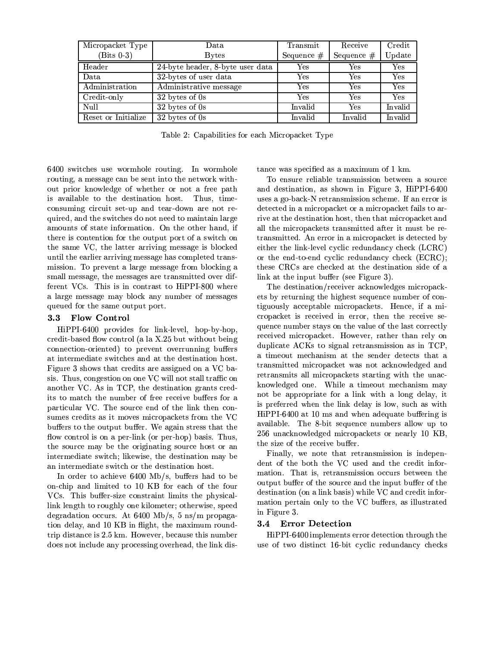| Micropacket Type    | Data                             | Transmit     | Receive      | Credit  |
|---------------------|----------------------------------|--------------|--------------|---------|
| $(Bits 0-3)$        | <b>Bytes</b>                     | Sequence $#$ | Sequence $#$ | Update  |
| Header              | 24-byte header, 8-byte user data | $_{\rm Yes}$ | Yes          | Yes     |
| Data                | 32-bytes of user data            | Yes          | Yes          | Yes     |
| Administration      | Administrative message           | Yes          | Yes          | Yes     |
| Credit-only         | 32 bytes of 0s                   | Yes          | Yes          | Yes     |
| Null                | 32 bytes of 0s                   | Invalid      | Yes          | Invalid |
| Reset or Initialize | 32 bytes of 0s                   | Invalid      | Invalid      | Invalid |

Table 2: Capabilities for each Micropacket Type

6400 switches use wormhole routing. In wormhole routing, a message can be sent into the network without prior knowledge of whether or not a free path is available to the destination host. Thus, timeconsuming circuit set-up and tear-down are not required, and the switches do not need to maintain large amounts of state information. On the other hand, if there is contention for the output port of a switch on the same VC, the latter arriving message is blocked until the earlier arriving message has completed transmission. To prevent a large message from blocking a small message, the messages are transmitted over different VCs. This is in contrast to HiPPI-800 where a large message may block any number of messages queued for the same output port.

#### $3.3$ Flow Control

HiPPI-6400 provides for link-level, hop-by-hop. credit-based flow control (a la X.25 but without being connection-oriented) to prevent overrunning buffers at intermediate switches and at the destination host. Figure 3 shows that credits are assigned on a VC basis. Thus, congestion on one VC will not stall traffic on another VC. As in TCP, the destination grants credits to match the number of free receive buffers for a particular VC. The source end of the link then consumes credits as it moves micropackets from the VC buffers to the output buffer. We again stress that the flow control is on a per-link (or per-hop) basis. Thus, the source may be the originating source host or an intermediate switch; likewise, the destination may be an intermediate switch or the destination host.

In order to achieve 6400 Mb/s, buffers had to be on-chip and limited to 10 KB for each of the four VCs. This buffer-size constraint limits the physicallink length to roughly one kilometer; otherwise, speed degradation occurs. At  $6400 \text{ Mb/s}, 5 \text{ ns/m}$  propagation delay, and 10 KB in flight, the maximum roundtrip distance is 2.5 km. However, because this number does not include any processing overhead, the link distance was specified as a maximum of 1 km.

To ensure reliable transmission between a source and destination, as shown in Figure 3, HiPPI-6400 uses a go-back-N retransmission scheme. If an error is detected in a micropacket or a micropacket fails to arrive at the destination host, then that micropacket and all the micropackets transmitted after it must be retransmitted. An error in a micropacket is detected by either the link-level cyclic redundancy check (LCRC) or the end-to-end cyclic redundancy check (ECRC); these CRCs are checked at the destination side of a link at the input buffer (see Figure 3).

The destination/receiver acknowledges micropackets by returning the highest sequence number of contiguously acceptable micropackets. Hence, if a micropacket is received in error, then the receive sequence number stays on the value of the last correctly received micropacket. However, rather than rely on duplicate ACKs to signal retransmission as in TCP, a timeout mechanism at the sender detects that a transmitted micropacket was not acknowledged and retransmits all micropackets starting with the unacknowledged one. While a timeout mechanism may not be appropriate for a link with a long delay, it is preferred when the link delay is low, such as with HiPPI-6400 at 10 ms and when adequate buffering is available. The 8-bit sequence numbers allow up to 256 unacknowledged micropackets or nearly 10 KB, the size of the receive buffer.

Finally, we note that retransmission is independent of the both the VC used and the credit information. That is, retransmission occurs between the output buffer of the source and the input buffer of the destination (on a link basis) while VC and credit information pertain only to the VC buffers, as illustrated in Figure 3.

#### $3.4$ **Error Detection**

HiPPI-6400 implements error detection through the use of two distinct 16-bit cyclic redundancy checks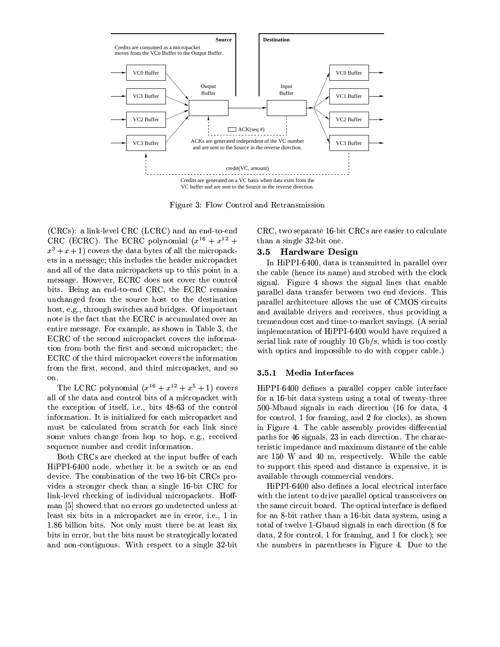

³´TrkD{J^9`² 4³on¨±FnDfge^9n]m.fqs -L`bge^\$m.fqceToc9ceTrnDf

 $\overline{N}$  +  $\overline{N}$  +  $\overline{N}$  +  $\overline{N}$  +  $\overline{N}$  +  $\overline{N}$  +  $\overline{N}$  +  $\overline{N}$  +  $\overline{N}$  +  $\overline{N}$  +  $\overline{N}$  +  $\overline{N}$  +  $\overline{N}$  +  $\overline{N}$  +  $\overline{N}$  +  $\overline{N}$  +  $\overline{N}$  +  $\overline{N}$  +  $\overline{N}$  +  $\overline{N}$  + ±-U± ¤±-U±¥8}FhJ`±-U± aPn]ox fJn]TWm.¤- -±ü  $\blacksquare$  . To be a condition of the condition of the condition  $\blacksquare$ ets in a message; this includes the header micropacket and all of the data micropackets up to this point in a  $\blacksquare$ vJTrg9cd}`dTrfJkm.ft`bfs Y g9n.YZ`bfqs±-L±! gehJ`±-U±p^e`dm.Tofqc $J$  is 50enD general general general general general general general general general general general general general general general general general general general general general general general general general general hJncog@`] $\{A,B,C,C,D\}$  and  $\{A,B,C,D\}$ fJn]ge`TWcgehJ`§mDu8ggehmggehq`U±-U±©TWcm]udu={J|{Jom.ge`@snD`b^m.fentire message. For example, as shown in Table 3, the ±-L±\_n.g9hJ`ce`dubn]fqszTWu=^9n]aqmDu\$ª]`=gUubn]`b^\$cgehq`°TrfJ5n]^9m.Y $\overline{a}$  and  $\overline{a}$  and  $\overline{a}$   $\overline{a}$   $\overline{b}$   $\overline{c}$ ±-L±©n.Jg9hJ`g9hJTo^9s|Toub^enDaqm]u\$ªD`=gubn]`b^\$cg9hJ`TrfJ5n]^9m.geTon]f5^9n] gehq`¢q^\$cRgdcR`@u=nDfqsm.fqszg9hJTo^9s¬wTWu=^9n]am]u\$ª]`bgdPm.fqscen on.

hore = anno 19cm.archives = 19cm.archives = 19cm.archives = 19cm.archives = 19cm.archives = 19cm.archives = 19 all of the data and control bits of a micropacket with g9hJ`·`bjJu=`baJgeTon]f£n]NTrg9ce`br0T } `]}ovJTrg9cw\Y[]²n]UgehJ`zu=nDfge^9n] information. It is initialized for each micropacket and  ${\bf J}$  , the state  ${\bf J}$  coenC coenD coenD coenD coenD coenD coenD coenD coenD coenD coenD coenD coenD coenD coenD coenD coenD coenD coenD coenD coenD coenD coenD coenD coenD coenD coenD coenD coenD coenD coenD coenD coe cen]`m.o{J`@cu\$hqm]fJk}} hJn]a\_genhJnDa&L`} kq}ou^9`dub`bTo}To}Da&L`} kq}oU^9`dub`bTo}To}Da&L`} kq}oU^9^0^{9} sequence number and credit information.

n.g9hz±-U±cLm.^9`u\$hJ`du\$ªD`dsm.ggehJ`TofJaJ{HgUvJ{P`d^Ln.`@m]u\$h HiPPI-6400 node, whether it be a switch or an end  $\blacksquare$ Two Hodger and the Critical and the Critical Drive and the Critical Drive and the Critical Drive and the Critical Drive and the Critical Drive and the Critical Drive and the Critical Drive and the Critical Drive and the Cr link-level checking of individual micropackets. Hoffman [5] showed that no errors go undetected unless at of the distribution  $\mathcal{P}$  and  $\mathcal{P}$  and  $\mathcal{P}$  and  $\mathcal{P}$  and  $\mathcal{P}$  are distribution  $\mathcal{P}$  . The distribution  $\mathcal{P}$ 1.86 billion bits. Not only must there be at least  $six$ bits in error, but the bits must be strategically located and non-contiguous. With respect to a single  $32$ -bit

 g9hqm.fzmcRTofJkDr`²DµYlvqT¦gn]fJ`D}±-U±!(g0nce`baqm]^9m.ge`¬úd[.YlvJTrgF±-U±c´m]^e``@m]ceTr`d^g9nubm.Wu={qom.ge`

#### $3.5\,$  $\sim$  2010  $\sim$  2010  $\sim$  2010  $\sim$  2010  $\sim$  2010  $\sim$  2010  $\sim$  2010  $\sim$  2010  $\sim$  2010  $\sim$  2010  $\sim$  2010  $\sim$  2010  $\sim$  2010  $\sim$  2010  $\sim$  2010  $\sim$  2010  $\sim$  2010  $\sim$  2010  $\sim$  2010  $\sim$  2010  $\sim$  2010  $\sim$  2010

In HiPPI-6400, data is transmitted in parallel over the cable (hence its name) and strobed with the clock signal. Figure 4 shows the signal lines that enable parallel data transfer between two end devices. This parallel architecture allows the use of CMOS circuits magnetic  $\delta$  and  $\delta$  contactors  $\delta$  of  $\delta$  contactors  $\delta$  contact  $\delta$  contact  $\delta$  contact  $\delta$  contact  $\delta$  $\mathcal{P}^{\text{max}}$  gen.Y $\mathcal{P}^{\text{max}}$ implementation of HiPPI-6400 would have required a serial link rate of roughly 10 Gb/s, which is too costly with optics and impossible to do with copper cable.)

### 3.5.1 Media Interfaces

 5nD^Um-úd[YZvJTrgNsJmg\$mcRxHcRge`b {qceTrfJkmwg9n.g\$m.&n]g0`bfg0xY g9hJ^9`b`  $5$ nd ú $5$ nd ú $5$ na $5$ m.fof $J$ k $J$ s $\mu$ matrix models in the subset of the subset of  $\mathcal{S}$  up to the subset of the subset of the subset of the subset of the subset of the subset of the subset of the subset of the subset of the subset of the subset of the sub HiPPI-6400 defines a parallel copper cable interface  $500$ -Mbaud signals in each direction (16 for data, 4 in Figure 4. The cable assembly provides differential aqm.gehqc5n]^F\D[|cRTok]fqm]ocdµ]²Tof`dmDu\$hsHTo^e`@u8geTon]f }hq`!u\$hqm]^9mDu8Yteristic impedance and maximum distance of the cable maanda maanda maanda maanda maanda maanda maanda maanda maanda maanda maanda maanda maanda maanda maanda maand to support this speed and distance is expensive, it is

sJm.g9mb u5nDofJkmlanDofJkmlanDofJkmlanDofJkmlanDofJkmlanDofJkmlanDofJkmlanDofJkmlanDofJkmlanDofJkmlanDofJkmlanDofJkmlanDofJkmlanDofJkmlanDofJkmlanDofJkmlanDofJkmlanDofJkmlanDofJkmlanDofJkmlanDofJkmlanDofJkmlanDofJkmlanDof  $\mathcal{G}^{\bullet}$  and  $\mathcal{G}^{\bullet}$  and  $\mathcal{G}^{\bullet}$  contains  $\mathcal{G}^{\bullet}$  and  $\mathcal{G}^{\bullet}$  and  $\mathcal{G}^{\bullet}$ HiPPI-6400 also defines a local electrical interface LTrgeh|gehJ`TofDg9`bfggensH^9TrD`Faqm]^9m]ro`bn]aJgeTWubm.g9^9m]fqceub`bTo]`d^9c n]fg9hJ`c9m.`u=To^\$u={JTrg vPnDm.^\$s}´hJ`n]aJgeTWubm.DTrfg9`b^e§m]u=`TocsH`=¢qfq`dsfor an 8-bit rather than a 16-bit data system, using a total of twelve 1-Gbaud signals in each direction  $(8$  for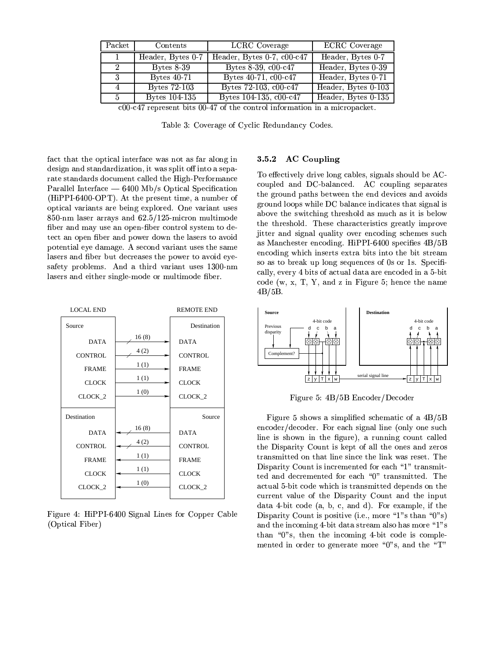| $\rm Packet$                                                                       | Contents             | <b>LCRC</b> Coverage       | <b>ECRC</b> Coverage |  |
|------------------------------------------------------------------------------------|----------------------|----------------------------|----------------------|--|
| $\mathbf{1}$                                                                       | Header, Bytes 0-7    | Header, Bytes 0-7, c00-c47 | Header, Bytes 0-7    |  |
| 2                                                                                  | Bytes $8-39$         | Bytes 8-39, c00-c47        | Header, Bytes 0-39   |  |
| 3                                                                                  | <b>Bytes 40-71</b>   | Bytes 40-71, c00-c47       | Header, Bytes 0-71   |  |
| $\overline{4}$                                                                     | <b>Bytes 72-103</b>  | Bytes 72-103, c00-c47      | Header, Bytes 0-103  |  |
| -5                                                                                 | <b>Bytes 104-135</b> | Bytes 104-135, c00-c47     | Header, Bytes 0-135  |  |
| $c_{0}$ $c_{4}$ represent bits 00 $47$ of the control information in a microproces |                      |                            |                      |  |

present bits 00-47 of the control information in a micropacket.

Table 3: Coverage of Cyclic Redundancy Codes.

fact that the optical interface was not as far along in design and standardization, it was split off into a separate standards document called the High-Performance Parallel Interface  $-$  6400 Mb/s Optical Specification (HiPPI-6400-OPT). At the present time, a number of optical variants are being explored. One variant uses 850-nm laser arrays and 62.5/125-micron multimode fiber and may use an open-fiber control system to detect an open fiber and power down the lasers to avoid potential eye damage. A second variant uses the same lasers and fiber but decreases the power to avoid eyesafety problems. And a third variant uses 1300-nm lasers and either single-mode or multimode fiber.



Figure 4: HiPPI-6400 Signal Lines for Copper Cable (Optical Fiber)

#### **AC** Coupling 3.5.2

To effectively drive long cables, signals should be ACcoupled and DC-balanced. AC coupling separates the ground paths between the end devices and avoids ground loops while DC balance indicates that signal is above the switching threshold as much as it is below the threshold. These characteristics greatly improve jitter and signal quality over encoding schemes such as Manchester encoding. HiPPI-6400 specifies 4B/5B encoding which inserts extra bits into the bit stream so as to break up long sequences of 0s or 1s. Specifically, every 4 bits of actual data are encoded in a 5-bit code  $(w, x, T, Y, and z$  in Figure 5; hence the name  $4B/5B$ .



Figure 5: 4B/5B Encoder/Decoder

Figure 5 shows a simplified schematic of a  $4B/5B$ encoder/decoder. For each signal line (only one such line is shown in the figure), a running count called the Disparity Count is kept of all the ones and zeros transmitted on that line since the link was reset. The Disparity Count is incremented for each "1" transmitted and decremented for each "0" transmitted. The actual 5-bit code which is transmitted depends on the current value of the Disparity Count and the input data 4-bit code (a, b, c, and d). For example, if the Disparity Count is positive (i.e., more "1"s than "0"s) and the incoming 4-bit data stream also has more "1"s than "0"s, then the incoming 4-bit code is complemented in order to generate more "0"s, and the "T"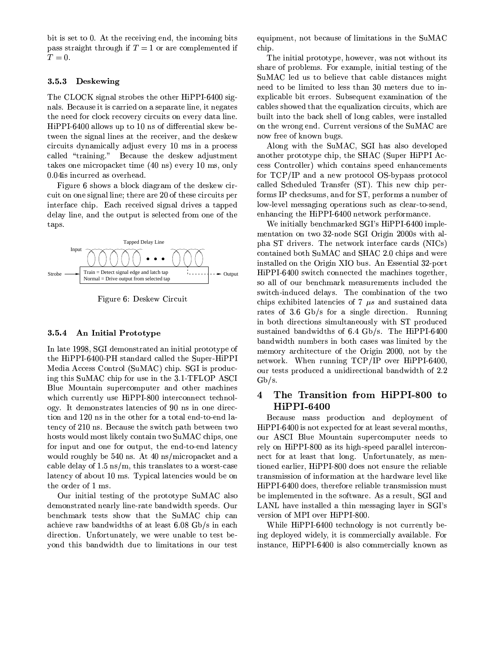bit is set to 0. At the receiving end, the incoming bits pass straight through if  $T = 1$  or are complemented if  $T=0.$ 

#### 3.5.3 Deskewing

The CLOCK signal strobes the other HiPPI-6400 signals. Because it is carried on a separate line, it negates the need for clock recovery circuits on every data line. HiPPI-6400 allows up to 10 ns of differential skew between the signal lines at the receiver, and the deskew circuits dynamically adjust every 10 ms in a process called "training." Because the deskew adjustment takes one micropacket time (40 ns) every 10 ms, only 0.04is incurred as overhead.

Figure 6 shows a block diagram of the deskew circuit on one signal line; there are 20 of these circuits per interface chip. Each received signal drives a tapped delay line, and the output is selected from one of the taps.



Figure 6: Deskew Circuit

#### 3.5.4 An Initial Prototype

In late 1998, SGI demonstrated an initial prototype of the HiPPI-6400-PH standard called the Super-HiPPI Media Access Control (SuMAC) chip. SGI is producing this SuMAC chip for use in the 3.1-TFLOP ASCI Blue Mountain supercomputer and other machines which currently use HiPPI-800 interconnect technology. It demonstrates latencies of 90 ns in one direction and 120 ns in the other for a total end-to-end latency of 210 ns. Because the switch path between two hosts would most likely contain two SuMAC chips, one for input and one for output, the end-to-end latency would roughly be 540 ns. At 40 ns/micropacket and a cable delay of  $1.5 \text{ ns/m}$ , this translates to a worst-case latency of about 10 ms. Typical latencies would be on the order of 1 ms.

Our initial testing of the prototype SuMAC also demonstrated nearly line-rate bandwidth speeds. Our benchmark tests show that the SuMAC chip can achieve raw bandwidths of at least 6.08 Gb/s in each direction. Unfortunately, we were unable to test bevond this bandwidth due to limitations in our test equipment, not because of limitations in the SuMAC chip.

The initial prototype, however, was not without its share of problems. For example, initial testing of the SuMAC led us to believe that cable distances might need to be limited to less than 30 meters due to inexplicable bit errors. Subsequent examination of the cables showed that the equalization circuits, which are built into the back shell of long cables, were installed on the wrong end. Current versions of the SuMAC are now free of known bugs.

Along with the SuMAC, SGI has also developed another prototype chip, the SHAC (Super HiPPI Access Controller) which contains speed enhancements for TCP/IP and a new protocol OS-bypass protocol called Scheduled Transfer (ST). This new chip performs IP checksums, and for ST, performs a number of low-level messaging operations such as clear-to-send, enhancing the HiPPI-6400 network performance.

We initially benchmarked SGI's HiPPI-6400 implementation on two 32-node SGI Origin 2000s with alpha ST drivers. The network interface cards (NICs) contained both SuMAC and SHAC 2.0 chips and were installed on the Origin XIO bus. An Essential 32-port HiPPI-6400 switch connected the machines together, so all of our benchmark measurements included the switch-induced delays. The combination of the two chips exhibited latencies of 7  $\mu s$  and sustained data rates of 3.6 Gb/s for a single direction. Running in both directions simultaneously with ST produced sustained bandwidths of 6.4 Gb/s. The HiPPI-6400 bandwidth numbers in both cases was limited by the memory architecture of the Origin 2000, not by the network. When running TCP/IP over HiPPI-6400, our tests produced a unidirectional bandwidth of 2.2  $Gb/s.$ 

### The Transition from HiPPI-800 to 4 HiPPI-6400

Because mass production and deployment of HiPPI-6400 is not expected for at least several months, our ASCI Blue Mountain supercomputer needs to rely on HiPPI-800 as its high-speed parallel interconnect for at least that long. Unfortunately, as mentioned earlier, HiPPI-800 does not ensure the reliable transmission of information at the hardware level like HiPPI-6400 does, therefore reliable transmission must be implemented in the software. As a result, SGI and LANL have installed a thin messaging layer in SGI's version of MPI over HiPPI-800.

While HiPPI-6400 technology is not currently being deployed widely, it is commercially available. For instance, HiPPI-6400 is also commercially known as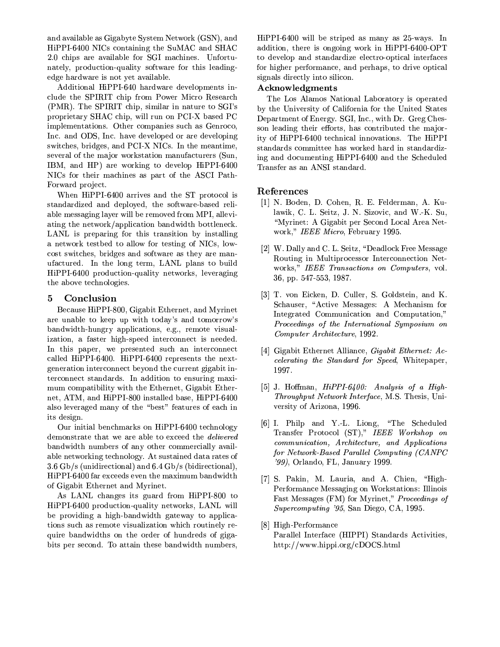and available as Gigabyte System Network (GSN), and HiPPI-6400 NICs containing the SuMAC and SHAC 2.0 chips are available for SGI machines. Unfortunately, production-quality software for this leadingedge hardware is not yet available.

Additional HiPPI-640 hardware developments include the SPIRIT chip from Power Micro Research (PMR). The SPIRIT chip, similar in nature to SGI's proprietary SHAC chip, will run on PCI-X based PC implementations. Other companies such as Genroco, Inc. and ODS, Inc. have developed or are developing switches, bridges, and PCI-X NICs. In the meantime, several of the major workstation manufacturers (Sun, IBM, and HP) are working to develop HiPPI-6400 NICs for their machines as part of the ASCI Path-Forward project.

When HiPPI-6400 arrives and the ST protocol is standardized and deployed, the software-based reliable messaging layer will be removed from MPI, alleviating the network/application bandwidth bottleneck. LANL is preparing for this transition by installing a network testbed to allow for testing of NICs, lowcost switches, bridges and software as they are manufactured. In the long term, LANL plans to build HiPPI-6400 production-quality networks, leveraging the above technologies.

#### Conclusion 5

Because HiPPI-800, Gigabit Ethernet, and Myrinet are unable to keep up with today's and tomorrow's bandwidth-hungry applications, e.g., remote visualization, a faster high-speed interconnect is needed. In this paper, we presented such an interconnect called HiPPI-6400. HiPPI-6400 represents the nextgeneration interconnect beyond the current gigabit interconnect standards. In addition to ensuring maximum compatibility with the Ethernet, Gigabit Ethernet, ATM, and HiPPI-800 installed base, HiPPI-6400 also leveraged many of the "best" features of each in its design.

Our initial benchmarks on HiPPI-6400 technology demonstrate that we are able to exceed the *delivered* bandwidth numbers of any other commercially available networking technology. At sustained data rates of 3.6 Gb/s (unidirectional) and 6.4 Gb/s (bidirectional), HiPPI-6400 far exceeds even the maximum bandwidth of Gigabit Ethernet and Myrinet.

As LANL changes its guard from HiPPI-800 to HiPPI-6400 production-quality networks, LANL will be providing a high-bandwidth gateway to applications such as remote visualization which routinely require bandwidths on the order of hundreds of gigabits per second. To attain these bandwidth numbers. HiPPI-6400 will be striped as many as 25-ways. In addition, there is ongoing work in HiPPI-6400-OPT to develop and standardize electro-optical interfaces for higher performance, and perhaps, to drive optical signals directly into silicon.

### Acknowledgments

The Los Alamos National Laboratory is operated by the University of California for the United States Department of Energy. SGI, Inc., with Dr. Greg Chesson leading their efforts, has contributed the majority of HiPPI-6400 technical innovations. The HiPPI standards committee has worked hard in standardizing and documenting HiPPI-6400 and the Scheduled Transfer as an ANSI standard.

## References

- [1] N. Boden, D. Cohen, R. E. Felderman, A. Kulawik, C. L. Seitz, J. N. Sizovic, and W.-K. Su. "Myrinet: A Gigabit per Second Local Area Network," IEEE Micro, February 1995.
- [2] W. Dally and C. L. Seitz, "Deadlock Free Message Routing in Multiprocessor Interconnection Networks," IEEE Transactions on Computers, vol. 36, pp. 547-553, 1987.
- [3] T. von Eicken, D. Culler, S. Goldstein, and K. Schauser, "Active Messages: A Mechanism for Integrated Communication and Computation," Proceedings of the International Symposium on Computer Architecture, 1992.
- [4] Gigabit Ethernet Alliance, *Gigabit Ethernet: Ac*celerating the Standard for Speed, Whitepaper, 1997.
- [5] J. Hoffman,  $HiPPI-6400$ : Analysis of a High-*Throughput Network Interface, M.S. Thesis, Uni*versity of Arizona, 1996.
- [6] I. Philp and Y.-L. Liong, "The Scheduled Transfer Protocol (ST)," IEEE Workshop on communication, Architecture, and Applications for Network-Based Parallel Computing (CANPC '99), Orlando, FL, January 1999.
- [7] S. Pakin, M. Lauria, and A. Chien, "High-Performance Messaging on Workstations: Illinois Fast Messages (FM) for Myrinet," Proceedings of *Supercomputing '95*, San Diego, CA, 1995.
- [8] High-Performance Parallel Interface (HIPPI) Standards Activities, http://www.hippi.org/cDOCS.html